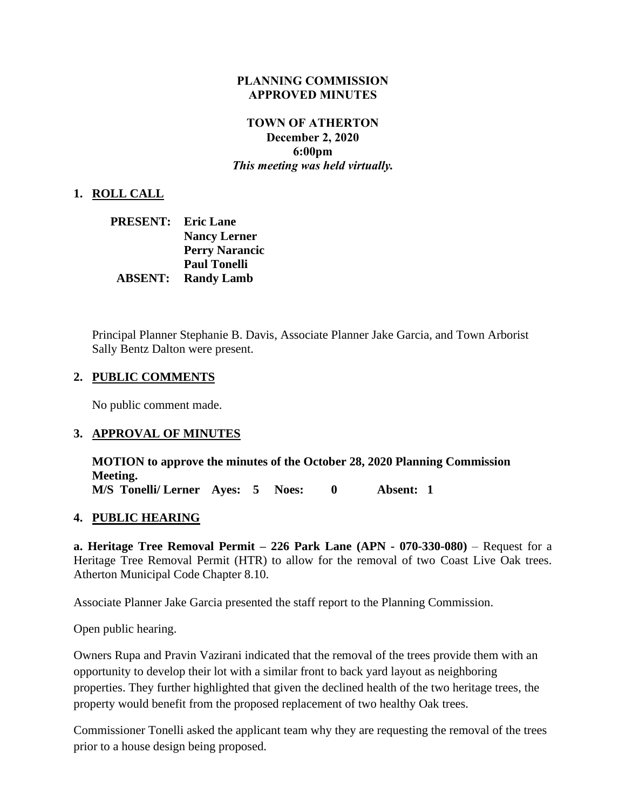#### **PLANNING COMMISSION APPROVED MINUTES**

### **TOWN OF ATHERTON December 2, 2020 6:00pm** *This meeting was held virtually.*

#### **1. ROLL CALL**

| PRESENT:       | <b>Eric Lane</b>      |  |  |
|----------------|-----------------------|--|--|
|                | <b>Nancy Lerner</b>   |  |  |
|                | <b>Perry Narancic</b> |  |  |
|                | <b>Paul Tonelli</b>   |  |  |
| <b>ABSENT:</b> | <b>Randy Lamb</b>     |  |  |

Principal Planner Stephanie B. Davis, Associate Planner Jake Garcia, and Town Arborist Sally Bentz Dalton were present.

#### **2. PUBLIC COMMENTS**

No public comment made.

#### **3. APPROVAL OF MINUTES**

**MOTION to approve the minutes of the October 28, 2020 Planning Commission Meeting. M/S Tonelli/ Lerner Ayes: 5 Noes: 0 Absent: 1**

#### **4. PUBLIC HEARING**

**a. Heritage Tree Removal Permit – 226 Park Lane (APN - 070-330-080)** – Request for a Heritage Tree Removal Permit (HTR) to allow for the removal of two Coast Live Oak trees. Atherton Municipal Code Chapter 8.10.

Associate Planner Jake Garcia presented the staff report to the Planning Commission.

Open public hearing.

Owners Rupa and Pravin Vazirani indicated that the removal of the trees provide them with an opportunity to develop their lot with a similar front to back yard layout as neighboring properties. They further highlighted that given the declined health of the two heritage trees, the property would benefit from the proposed replacement of two healthy Oak trees.

Commissioner Tonelli asked the applicant team why they are requesting the removal of the trees prior to a house design being proposed.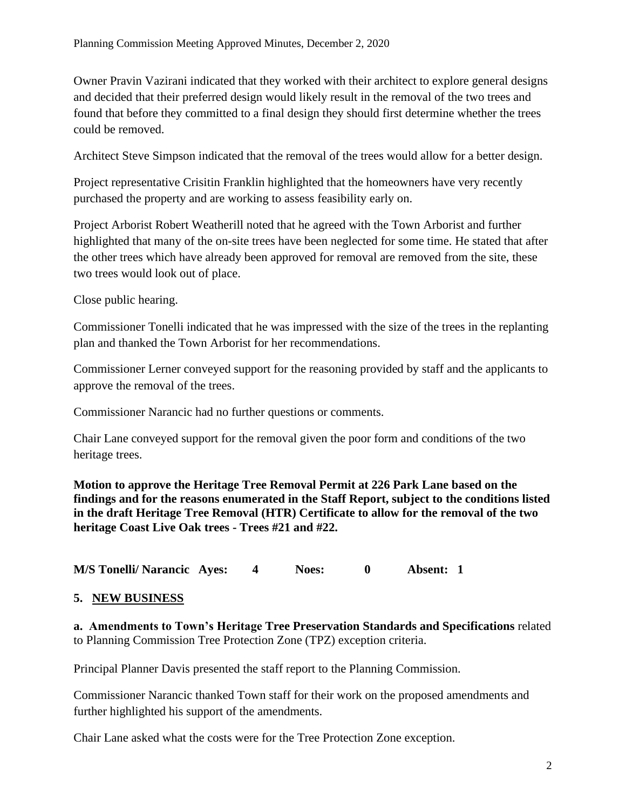Owner Pravin Vazirani indicated that they worked with their architect to explore general designs and decided that their preferred design would likely result in the removal of the two trees and found that before they committed to a final design they should first determine whether the trees could be removed.

Architect Steve Simpson indicated that the removal of the trees would allow for a better design.

Project representative Crisitin Franklin highlighted that the homeowners have very recently purchased the property and are working to assess feasibility early on.

Project Arborist Robert Weatherill noted that he agreed with the Town Arborist and further highlighted that many of the on-site trees have been neglected for some time. He stated that after the other trees which have already been approved for removal are removed from the site, these two trees would look out of place.

Close public hearing.

Commissioner Tonelli indicated that he was impressed with the size of the trees in the replanting plan and thanked the Town Arborist for her recommendations.

Commissioner Lerner conveyed support for the reasoning provided by staff and the applicants to approve the removal of the trees.

Commissioner Narancic had no further questions or comments.

Chair Lane conveyed support for the removal given the poor form and conditions of the two heritage trees.

**Motion to approve the Heritage Tree Removal Permit at 226 Park Lane based on the findings and for the reasons enumerated in the Staff Report, subject to the conditions listed in the draft Heritage Tree Removal (HTR) Certificate to allow for the removal of the two heritage Coast Live Oak trees - Trees #21 and #22.** 

**M/S Tonelli/ Narancic Ayes: 4 Noes: 0 Absent: 1**

## **5. NEW BUSINESS**

**a. Amendments to Town's Heritage Tree Preservation Standards and Specifications** related to Planning Commission Tree Protection Zone (TPZ) exception criteria.

Principal Planner Davis presented the staff report to the Planning Commission.

Commissioner Narancic thanked Town staff for their work on the proposed amendments and further highlighted his support of the amendments.

Chair Lane asked what the costs were for the Tree Protection Zone exception.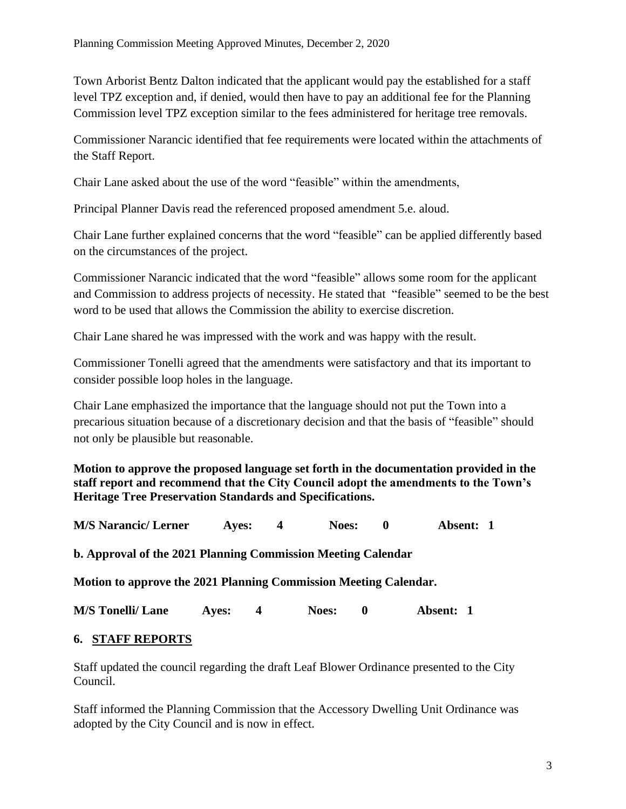Town Arborist Bentz Dalton indicated that the applicant would pay the established for a staff level TPZ exception and, if denied, would then have to pay an additional fee for the Planning Commission level TPZ exception similar to the fees administered for heritage tree removals.

Commissioner Narancic identified that fee requirements were located within the attachments of the Staff Report.

Chair Lane asked about the use of the word "feasible" within the amendments,

Principal Planner Davis read the referenced proposed amendment 5.e. aloud.

Chair Lane further explained concerns that the word "feasible" can be applied differently based on the circumstances of the project.

Commissioner Narancic indicated that the word "feasible" allows some room for the applicant and Commission to address projects of necessity. He stated that "feasible" seemed to be the best word to be used that allows the Commission the ability to exercise discretion.

Chair Lane shared he was impressed with the work and was happy with the result.

Commissioner Tonelli agreed that the amendments were satisfactory and that its important to consider possible loop holes in the language.

Chair Lane emphasized the importance that the language should not put the Town into a precarious situation because of a discretionary decision and that the basis of "feasible" should not only be plausible but reasonable.

**Motion to approve the proposed language set forth in the documentation provided in the staff report and recommend that the City Council adopt the amendments to the Town's Heritage Tree Preservation Standards and Specifications.** 

| <b>M/S Narancic/ Lerner</b>                                      | Aves: | 4 | <b>Noes:</b>                 | 0 | Absent: 1 |
|------------------------------------------------------------------|-------|---|------------------------------|---|-----------|
| b. Approval of the 2021 Planning Commission Meeting Calendar     |       |   |                              |   |           |
| Motion to approve the 2021 Planning Commission Meeting Calendar. |       |   |                              |   |           |
| <b>M/S</b> Tonelli/ Lane                                         | Aves: | 4 | <b>Noes:</b><br>$\mathbf{0}$ |   | Absent: 1 |

## **6. STAFF REPORTS**

Staff updated the council regarding the draft Leaf Blower Ordinance presented to the City Council.

Staff informed the Planning Commission that the Accessory Dwelling Unit Ordinance was adopted by the City Council and is now in effect.